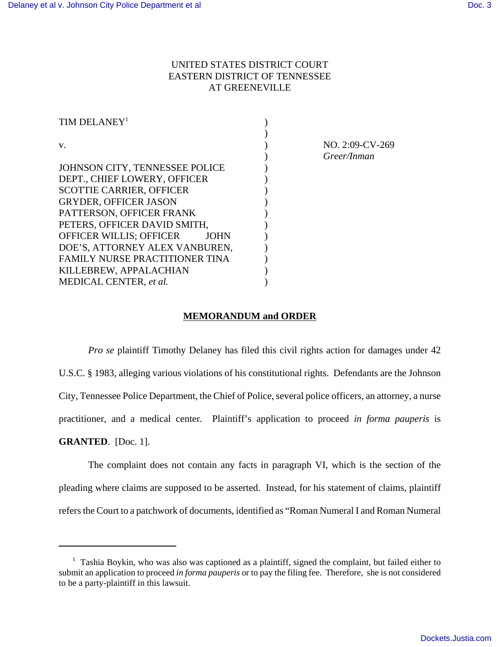# UNITED STATES DISTRICT COURT EASTERN DISTRICT OF TENNESSEE AT GREENEVILLE

| TIM DELANEY <sup>1</sup>               |  |
|----------------------------------------|--|
|                                        |  |
| V.                                     |  |
|                                        |  |
| JOHNSON CITY, TENNESSEE POLICE         |  |
| DEPT., CHIEF LOWERY, OFFICER           |  |
| <b>SCOTTIE CARRIER, OFFICER</b>        |  |
| <b>GRYDER, OFFICER JASON</b>           |  |
| PATTERSON, OFFICER FRANK               |  |
| PETERS, OFFICER DAVID SMITH,           |  |
| OFFICER WILLIS; OFFICER<br><b>JOHN</b> |  |
| DOE'S, ATTORNEY ALEX VANBUREN,         |  |
| <b>FAMILY NURSE PRACTITIONER TINA</b>  |  |
| KILLEBREW, APPALACHIAN                 |  |
| MEDICAL CENTER, et al.                 |  |

NO. 2:09-CV-269 ) *Greer/Inman*

## **MEMORANDUM and ORDER**

*Pro se* plaintiff Timothy Delaney has filed this civil rights action for damages under 42 U.S.C. § 1983, alleging various violations of his constitutional rights. Defendants are the Johnson City, Tennessee Police Department, the Chief of Police, several police officers, an attorney, a nurse practitioner, and a medical center. Plaintiff's application to proceed *in forma pauperis* is **GRANTED**. [Doc. 1].

The complaint does not contain any facts in paragraph VI, which is the section of the pleading where claims are supposed to be asserted. Instead, for his statement of claims, plaintiff refers the Court to a patchwork of documents, identified as "Roman Numeral I and Roman Numeral

<sup>&</sup>lt;sup>1</sup> Tashia Boykin, who was also was captioned as a plaintiff, signed the complaint, but failed either to submit an application to proceed *in forma pauperis* or to pay the filing fee. Therefore, she is not considered to be a party-plaintiff in this lawsuit.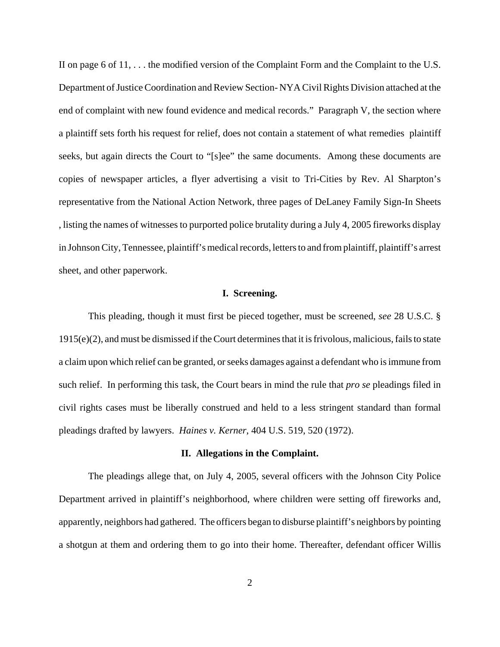II on page 6 of 11, . . . the modified version of the Complaint Form and the Complaint to the U.S. Department of Justice Coordination and Review Section- NYA Civil Rights Division attached at the end of complaint with new found evidence and medical records." Paragraph V, the section where a plaintiff sets forth his request for relief, does not contain a statement of what remedies plaintiff seeks, but again directs the Court to "[s]ee" the same documents. Among these documents are copies of newspaper articles, a flyer advertising a visit to Tri-Cities by Rev. Al Sharpton's representative from the National Action Network, three pages of DeLaney Family Sign-In Sheets , listing the names of witnesses to purported police brutality during a July 4, 2005 fireworks display in Johnson City, Tennessee, plaintiff's medical records, letters to and from plaintiff, plaintiff's arrest sheet, and other paperwork.

## **I. Screening.**

This pleading, though it must first be pieced together, must be screened, *see* 28 U.S.C. § 1915(e)(2), and must be dismissed if the Court determines that it is frivolous, malicious, fails to state a claim upon which relief can be granted, or seeks damages against a defendant who is immune from such relief. In performing this task, the Court bears in mind the rule that *pro se* pleadings filed in civil rights cases must be liberally construed and held to a less stringent standard than formal pleadings drafted by lawyers. *Haines v. Kerner*, 404 U.S. 519, 520 (1972).

#### **II. Allegations in the Complaint.**

The pleadings allege that, on July 4, 2005, several officers with the Johnson City Police Department arrived in plaintiff's neighborhood, where children were setting off fireworks and, apparently, neighbors had gathered. The officers began to disburse plaintiff's neighbors by pointing a shotgun at them and ordering them to go into their home. Thereafter, defendant officer Willis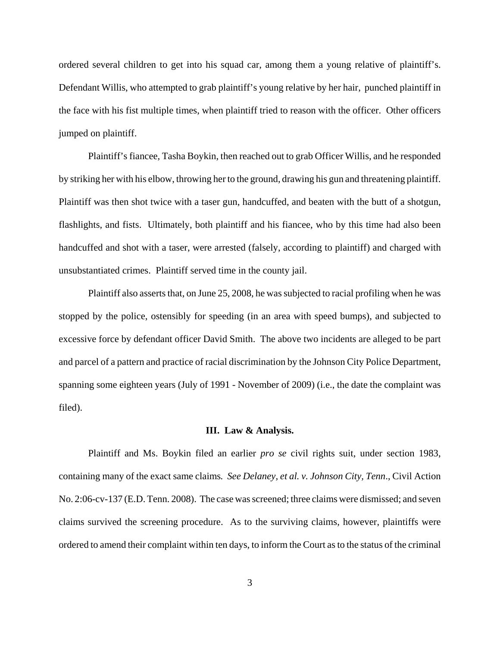ordered several children to get into his squad car, among them a young relative of plaintiff's. Defendant Willis, who attempted to grab plaintiff's young relative by her hair, punched plaintiff in the face with his fist multiple times, when plaintiff tried to reason with the officer. Other officers jumped on plaintiff.

Plaintiff's fiancee, Tasha Boykin, then reached out to grab Officer Willis, and he responded by striking her with his elbow, throwing her to the ground, drawing his gun and threatening plaintiff. Plaintiff was then shot twice with a taser gun, handcuffed, and beaten with the butt of a shotgun, flashlights, and fists. Ultimately, both plaintiff and his fiancee, who by this time had also been handcuffed and shot with a taser, were arrested (falsely, according to plaintiff) and charged with unsubstantiated crimes. Plaintiff served time in the county jail.

Plaintiff also asserts that, on June 25, 2008, he was subjected to racial profiling when he was stopped by the police, ostensibly for speeding (in an area with speed bumps), and subjected to excessive force by defendant officer David Smith. The above two incidents are alleged to be part and parcel of a pattern and practice of racial discrimination by the Johnson City Police Department, spanning some eighteen years (July of 1991 - November of 2009) (i.e., the date the complaint was filed).

#### **III. Law & Analysis.**

Plaintiff and Ms. Boykin filed an earlier *pro se* civil rights suit, under section 1983, containing many of the exact same claims*. See Delaney, et al. v. Johnson City, Tenn*., Civil Action No. 2:06-cv-137 (E.D. Tenn. 2008). The case was screened; three claims were dismissed; and seven claims survived the screening procedure. As to the surviving claims, however, plaintiffs were ordered to amend their complaint within ten days, to inform the Court as to the status of the criminal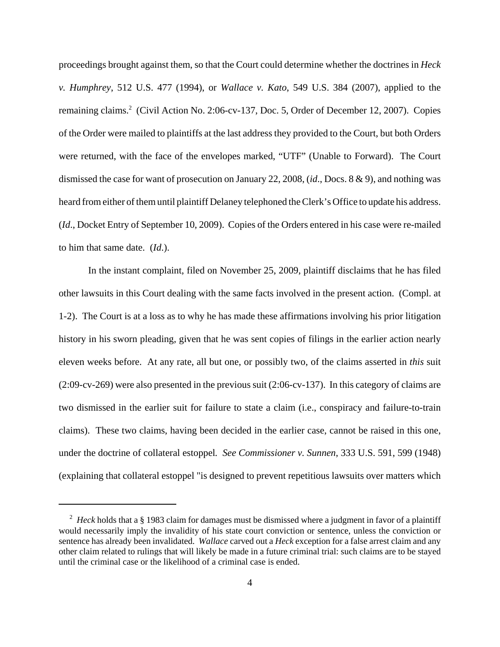proceedings brought against them, so that the Court could determine whether the doctrines in *Heck v. Humphrey*, 512 U.S. 477 (1994), or *Wallace v. Kato*, 549 U.S. 384 (2007), applied to the remaining claims.<sup>2</sup> (Civil Action No. 2:06-cv-137, Doc. 5, Order of December 12, 2007). Copies of the Order were mailed to plaintiffs at the last address they provided to the Court, but both Orders were returned, with the face of the envelopes marked, "UTF" (Unable to Forward). The Court dismissed the case for want of prosecution on January 22, 2008, (*id*., Docs. 8 & 9), and nothing was heard from either of them until plaintiff Delaney telephoned the Clerk's Office to update his address. (*Id*., Docket Entry of September 10, 2009). Copies of the Orders entered in his case were re-mailed to him that same date. (*Id*.).

In the instant complaint, filed on November 25, 2009, plaintiff disclaims that he has filed other lawsuits in this Court dealing with the same facts involved in the present action. (Compl. at 1-2). The Court is at a loss as to why he has made these affirmations involving his prior litigation history in his sworn pleading, given that he was sent copies of filings in the earlier action nearly eleven weeks before. At any rate, all but one, or possibly two, of the claims asserted in *this* suit (2:09-cv-269) were also presented in the previous suit (2:06-cv-137). In this category of claims are two dismissed in the earlier suit for failure to state a claim (i.e., conspiracy and failure-to-train claims). These two claims, having been decided in the earlier case, cannot be raised in this one, under the doctrine of collateral estoppel*. See Commissioner v. Sunnen*, 333 U.S. 591, 599 (1948) (explaining that collateral estoppel "is designed to prevent repetitious lawsuits over matters which

<sup>&</sup>lt;sup>2</sup> Heck holds that a § 1983 claim for damages must be dismissed where a judgment in favor of a plaintiff would necessarily imply the invalidity of his state court conviction or sentence, unless the conviction or sentence has already been invalidated. *Wallace* carved out a *Heck* exception for a false arrest claim and any other claim related to rulings that will likely be made in a future criminal trial: such claims are to be stayed until the criminal case or the likelihood of a criminal case is ended.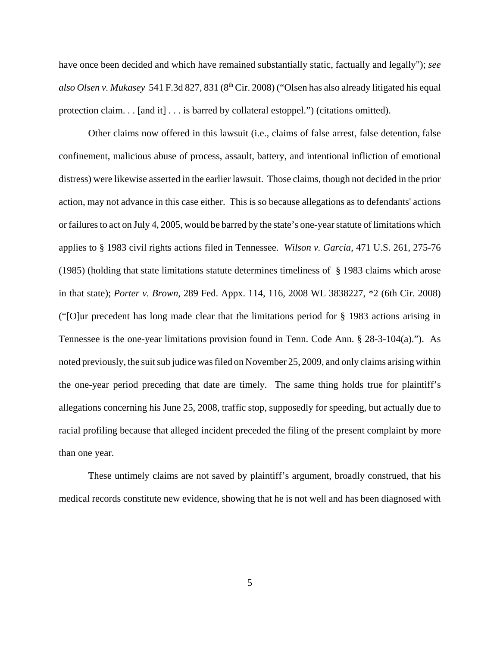have once been decided and which have remained substantially static, factually and legally"); *see* also Olsen v. Mukasey 541 F.3d 827, 831 (8<sup>th</sup> Cir. 2008) ("Olsen has also already litigated his equal protection claim. . . [and it] . . . is barred by collateral estoppel.") (citations omitted).

 Other claims now offered in this lawsuit (i.e., claims of false arrest, false detention, false confinement, malicious abuse of process, assault, battery, and intentional infliction of emotional distress) were likewise asserted in the earlier lawsuit. Those claims, though not decided in the prior action, may not advance in this case either. This is so because allegations as to defendants' actions or failures to act on July 4, 2005, would be barred by the state's one-year statute of limitations which applies to § 1983 civil rights actions filed in Tennessee. *Wilson v. Garcia*, 471 U.S. 261, 275-76 (1985) (holding that state limitations statute determines timeliness of § 1983 claims which arose in that state); *Porter v. Brown*, 289 Fed. Appx. 114, 116, 2008 WL 3838227, \*2 (6th Cir. 2008) ("[O]ur precedent has long made clear that the limitations period for § 1983 actions arising in Tennessee is the one-year limitations provision found in Tenn. Code Ann. § 28-3-104(a)."). As noted previously, the suit sub judice was filed on November 25, 2009, and only claims arising within the one-year period preceding that date are timely. The same thing holds true for plaintiff's allegations concerning his June 25, 2008, traffic stop, supposedly for speeding, but actually due to racial profiling because that alleged incident preceded the filing of the present complaint by more than one year.

These untimely claims are not saved by plaintiff's argument, broadly construed, that his medical records constitute new evidence, showing that he is not well and has been diagnosed with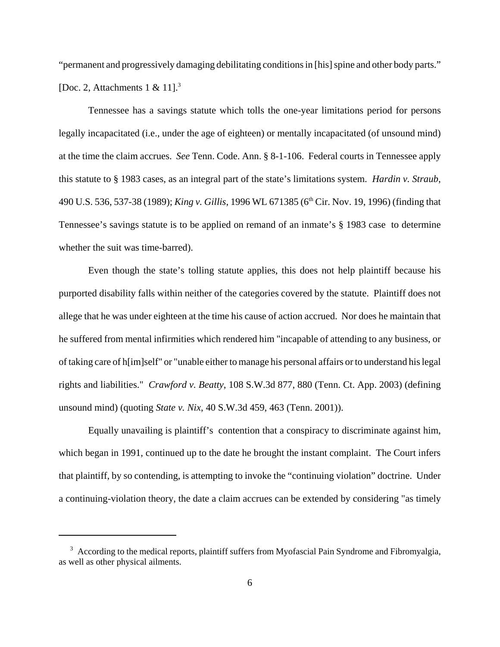"permanent and progressively damaging debilitating conditions in [his] spine and other body parts." [Doc. 2, Attachments  $1 \& 11$ ].<sup>3</sup>

Tennessee has a savings statute which tolls the one-year limitations period for persons legally incapacitated (i.e., under the age of eighteen) or mentally incapacitated (of unsound mind) at the time the claim accrues. *See* Tenn. Code. Ann. § 8-1-106. Federal courts in Tennessee apply this statute to § 1983 cases, as an integral part of the state's limitations system. *Hardin v. Straub*, 490 U.S. 536, 537-38 (1989); *King v. Gillis*, 1996 WL 671385 (6th Cir. Nov. 19, 1996) (finding that Tennessee's savings statute is to be applied on remand of an inmate's § 1983 case to determine whether the suit was time-barred).

Even though the state's tolling statute applies, this does not help plaintiff because his purported disability falls within neither of the categories covered by the statute. Plaintiff does not allege that he was under eighteen at the time his cause of action accrued. Nor does he maintain that he suffered from mental infirmities which rendered him "incapable of attending to any business, or of taking care of h[im]self" or "unable either to manage his personal affairs or to understand his legal rights and liabilities." *Crawford v. Beatty*, 108 S.W.3d 877, 880 (Tenn. Ct. App. 2003) (defining unsound mind) (quoting *State v. Nix*, 40 S.W.3d 459, 463 (Tenn. 2001)).

Equally unavailing is plaintiff's contention that a conspiracy to discriminate against him, which began in 1991, continued up to the date he brought the instant complaint. The Court infers that plaintiff, by so contending, is attempting to invoke the "continuing violation" doctrine. Under a continuing-violation theory, the date a claim accrues can be extended by considering "as timely

<sup>&</sup>lt;sup>3</sup> According to the medical reports, plaintiff suffers from Myofascial Pain Syndrome and Fibromyalgia, as well as other physical ailments.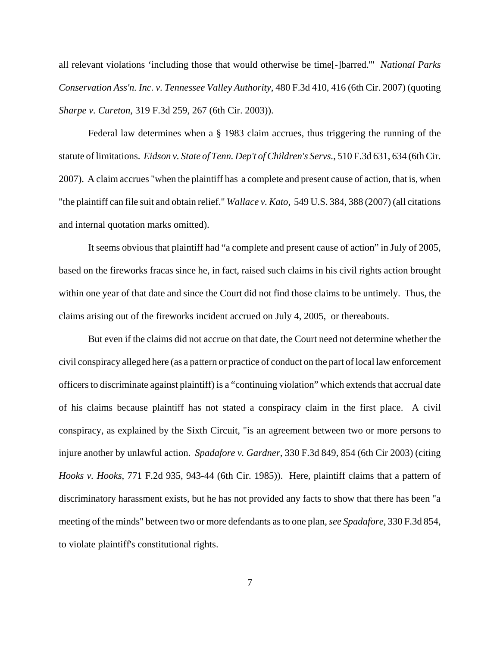all relevant violations 'including those that would otherwise be time[-]barred.'" *National Parks Conservation Ass'n. Inc. v. Tennessee Valley Authority*, 480 F.3d 410, 416 (6th Cir. 2007) (quoting *Sharpe v. Cureton*, 319 F.3d 259, 267 (6th Cir. 2003)).

Federal law determines when a § 1983 claim accrues, thus triggering the running of the statute of limitations. *Eidson v. State of Tenn. Dep't of Children's Servs.*, 510 F.3d 631, 634 (6th Cir. 2007). A claim accrues "when the plaintiff has a complete and present cause of action, that is, when "the plaintiff can file suit and obtain relief." *Wallace v. Kato*, 549 U.S. 384, 388 (2007) (all citations and internal quotation marks omitted).

It seems obvious that plaintiff had "a complete and present cause of action" in July of 2005, based on the fireworks fracas since he, in fact, raised such claims in his civil rights action brought within one year of that date and since the Court did not find those claims to be untimely. Thus, the claims arising out of the fireworks incident accrued on July 4, 2005, or thereabouts.

But even if the claims did not accrue on that date, the Court need not determine whether the civil conspiracy alleged here (as a pattern or practice of conduct on the part of local law enforcement officers to discriminate against plaintiff) is a "continuing violation" which extends that accrual date of his claims because plaintiff has not stated a conspiracy claim in the first place. A civil conspiracy, as explained by the Sixth Circuit, "is an agreement between two or more persons to injure another by unlawful action. *Spadafore v. Gardner*, 330 F.3d 849, 854 (6th Cir 2003) (citing *Hooks v. Hooks*, 771 F.2d 935, 943-44 (6th Cir. 1985)). Here, plaintiff claims that a pattern of discriminatory harassment exists, but he has not provided any facts to show that there has been "a meeting of the minds" between two or more defendants as to one plan, *see Spadafore*, 330 F.3d 854, to violate plaintiff's constitutional rights.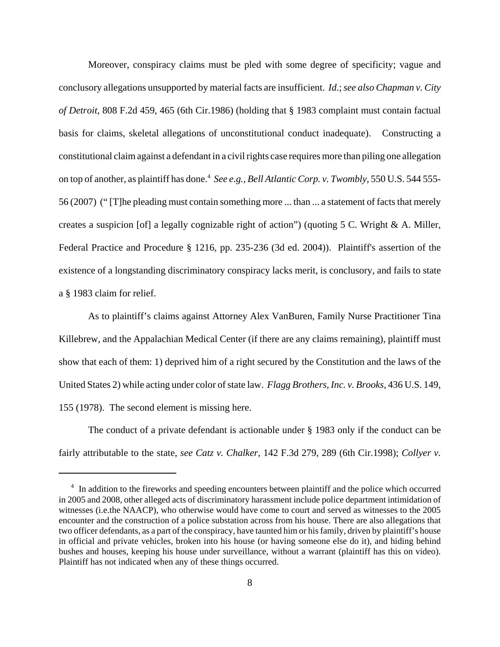Moreover, conspiracy claims must be pled with some degree of specificity; vague and conclusory allegations unsupported by material facts are insufficient. *Id*.; *see also Chapman v. City of Detroit*, 808 F.2d 459, 465 (6th Cir.1986) (holding that § 1983 complaint must contain factual basis for claims, skeletal allegations of unconstitutional conduct inadequate). Constructing a constitutional claim against a defendant in a civil rights case requires more than piling one allegation on top of another, as plaintiff has done.<sup>4</sup> See e.g., Bell Atlantic Corp. v. Twombly, 550 U.S. 544 555-56 (2007) (" [T]he pleading must contain something more ... than ... a statement of facts that merely creates a suspicion [of] a legally cognizable right of action") (quoting 5 C. Wright & A. Miller, Federal Practice and Procedure § 1216, pp. 235-236 (3d ed. 2004)). Plaintiff's assertion of the existence of a longstanding discriminatory conspiracy lacks merit, is conclusory, and fails to state a § 1983 claim for relief.

As to plaintiff's claims against Attorney Alex VanBuren, Family Nurse Practitioner Tina Killebrew, and the Appalachian Medical Center (if there are any claims remaining), plaintiff must show that each of them: 1) deprived him of a right secured by the Constitution and the laws of the United States 2) while acting under color of state law. *Flagg Brothers, Inc. v. Brooks*, 436 U.S. 149, 155 (1978). The second element is missing here.

The conduct of a private defendant is actionable under § 1983 only if the conduct can be fairly attributable to the state, *see Catz v. Chalker*, 142 F.3d 279, 289 (6th Cir.1998); *Collyer v.*

<sup>&</sup>lt;sup>4</sup> In addition to the fireworks and speeding encounters between plaintiff and the police which occurred in 2005 and 2008, other alleged acts of discriminatory harassment include police department intimidation of witnesses (i.e.the NAACP), who otherwise would have come to court and served as witnesses to the 2005 encounter and the construction of a police substation across from his house. There are also allegations that two officer defendants, as a part of the conspiracy, have taunted him or his family, driven by plaintiff's house in official and private vehicles, broken into his house (or having someone else do it), and hiding behind bushes and houses, keeping his house under surveillance, without a warrant (plaintiff has this on video). Plaintiff has not indicated when any of these things occurred.